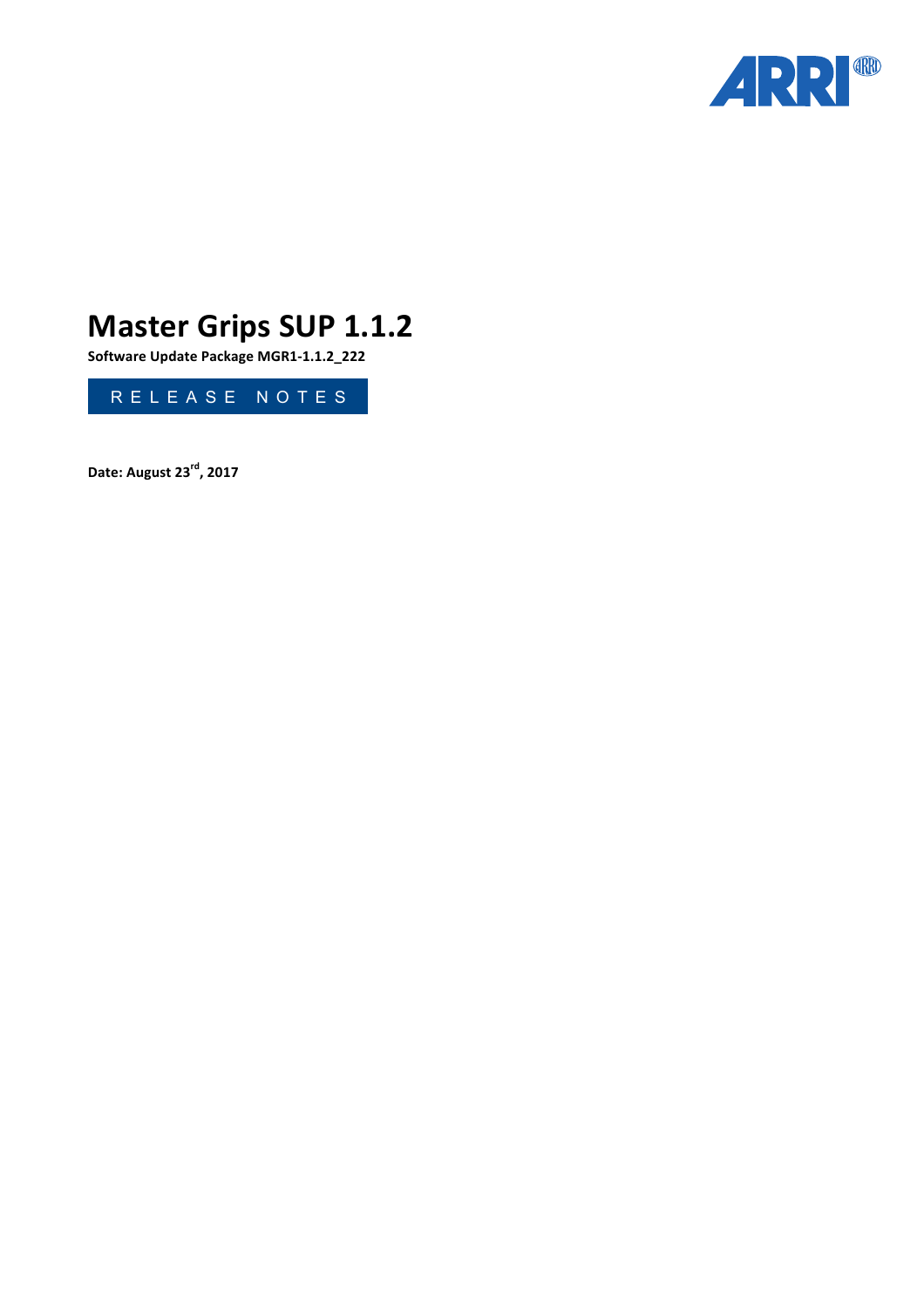

# **Master Grips SUP 1.1.2**

**Software Update Package MGR1-1.1.2\_222**



**Date: August 23rd , 2017**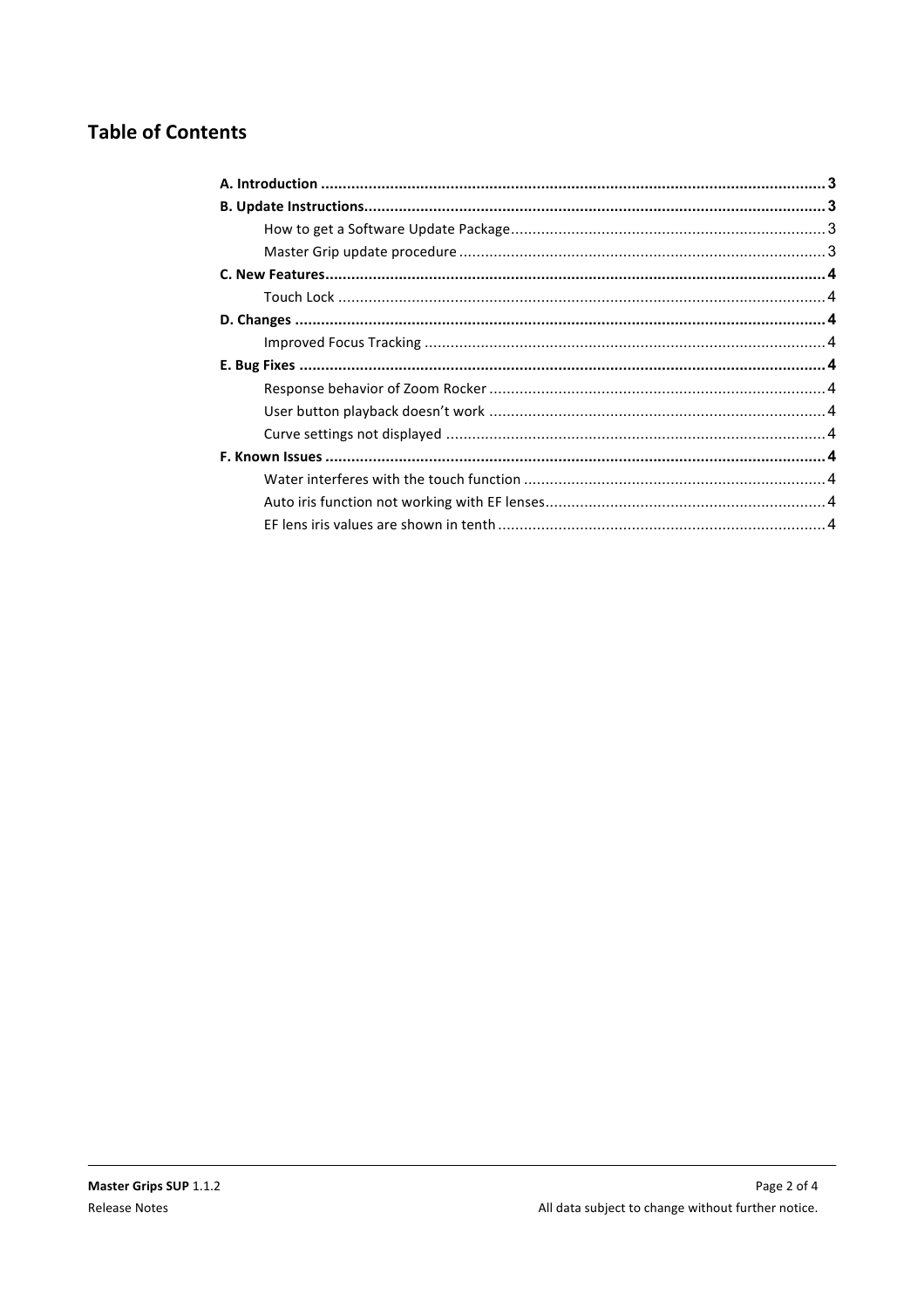# **Table of Contents**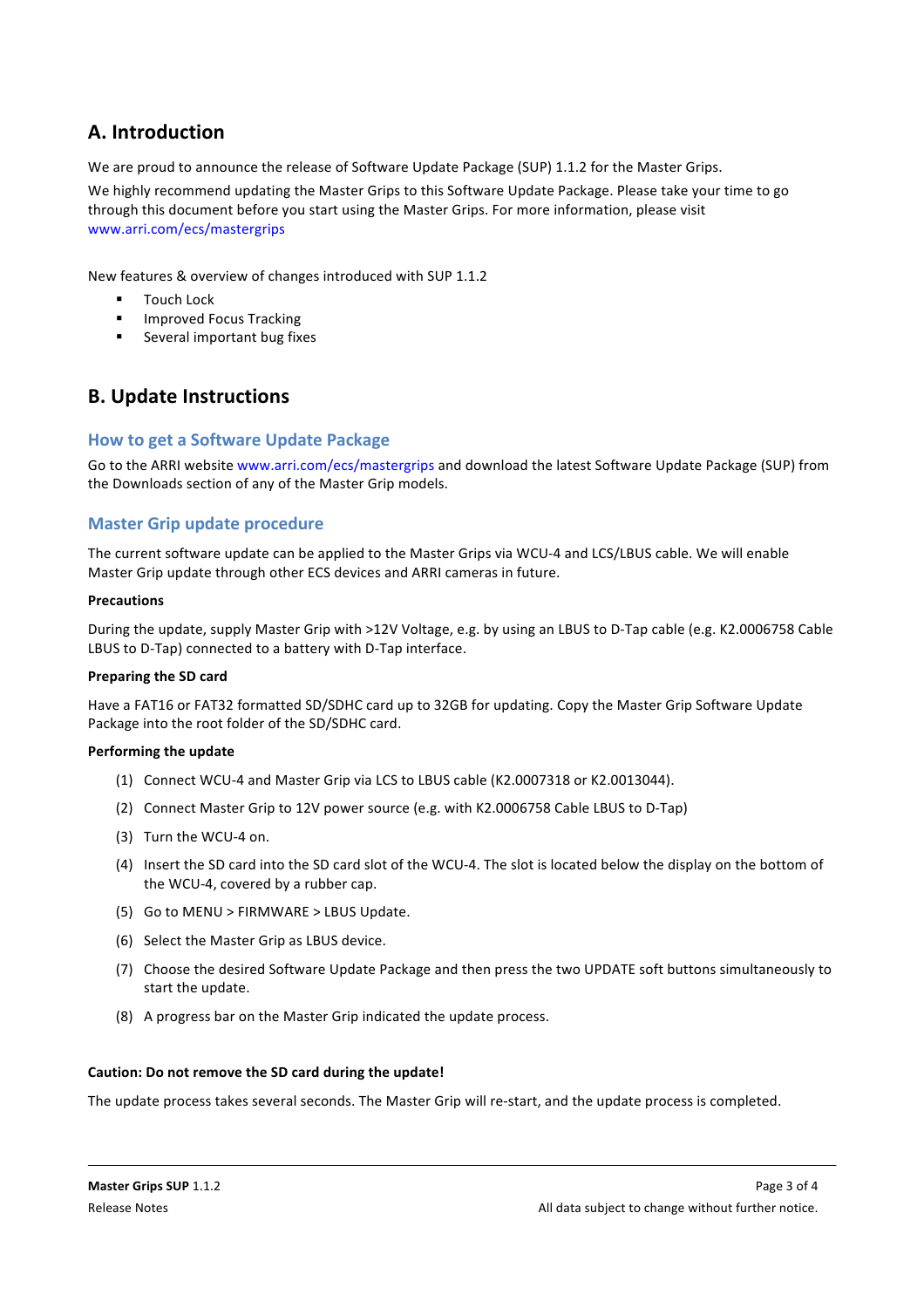# **A. Introduction**

We are proud to announce the release of Software Update Package (SUP) 1.1.2 for the Master Grips.

We highly recommend updating the Master Grips to this Software Update Package. Please take your time to go through this document before you start using the Master Grips. For more information, please visit www.arri.com/ecs/mastergrips

New features & overview of changes introduced with SUP 1.1.2

- Touch Lock
- **•** Improved Focus Tracking
- Several important bug fixes

# **B. Update Instructions**

### **How to get a Software Update Package**

Go to the ARRI website www.arri.com/ecs/mastergrips and download the latest Software Update Package (SUP) from the Downloads section of any of the Master Grip models.

### **Master Grip update procedure**

The current software update can be applied to the Master Grips via WCU-4 and LCS/LBUS cable. We will enable Master Grip update through other ECS devices and ARRI cameras in future.

### **Precautions**

During the update, supply Master Grip with >12V Voltage, e.g. by using an LBUS to D-Tap cable (e.g. K2.0006758 Cable LBUS to D-Tap) connected to a battery with D-Tap interface.

### **Preparing the SD card**

Have a FAT16 or FAT32 formatted SD/SDHC card up to 32GB for updating. Copy the Master Grip Software Update Package into the root folder of the SD/SDHC card.

### **Performing the update**

- (1) Connect WCU-4 and Master Grip via LCS to LBUS cable (K2.0007318 or K2.0013044).
- (2) Connect Master Grip to 12V power source (e.g. with K2.0006758 Cable LBUS to D-Tap)
- (3) Turn the WCU-4 on.
- (4) Insert the SD card into the SD card slot of the WCU-4. The slot is located below the display on the bottom of the WCU-4, covered by a rubber cap.
- (5) Go to MENU > FIRMWARE > LBUS Update.
- (6) Select the Master Grip as LBUS device.
- (7) Choose the desired Software Update Package and then press the two UPDATE soft buttons simultaneously to start the update.
- (8) A progress bar on the Master Grip indicated the update process.

### Caution: Do not remove the SD card during the update!

The update process takes several seconds. The Master Grip will re-start, and the update process is completed.